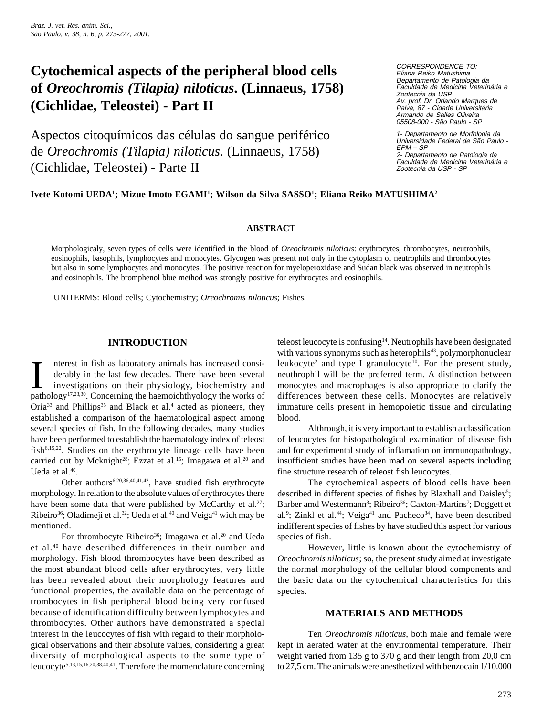# **Cytochemical aspects of the peripheral blood cells of** *Oreochromis (Tilapia) niloticus***. (Linnaeus, 1758) (Cichlidae, Teleostei) - Part II**

Aspectos citoquímicos das células do sangue periférico de *Oreochromis (Tilapia) niloticus*. (Linnaeus, 1758) (Cichlidae, Teleostei) - Parte II

CORRESPONDENCE TO: Eliana Reiko Matushima Departamento de Patologia da Faculdade de Medicina Veterinária e Zootecnia da USP Av. prof. Dr. Orlando Marques de Paiva, 87 - Cidade Universitária Armando de Salles Oliveira 05508-000 - São Paulo - SP

1- Departamento de Morfologia da Universidade Federal de São Paulo - EPM – SP 2- Departamento de Patologia da Faculdade de Medicina Veterinária e Zootecnia da USP - SP

## **Ivete Kotomi UEDA1 ; Mizue Imoto EGAMI1 ; Wilson da Silva SASSO1 ; Eliana Reiko MATUSHIMA2**

## **ABSTRACT**

Morphologicaly, seven types of cells were identified in the blood of *Oreochromis niloticus*: erythrocytes, thrombocytes, neutrophils, eosinophils, basophils, lymphocytes and monocytes. Glycogen was present not only in the cytoplasm of neutrophils and thrombocytes but also in some lymphocytes and monocytes. The positive reaction for myeloperoxidase and Sudan black was observed in neutrophils and eosinophils. The bromphenol blue method was strongly positive for erythrocytes and eosinophils.

UNITERMS: Blood cells; Cytochemistry; *Oreochromis niloticus*; Fishes.

## **INTRODUCTION**

Interest in fish as laboratory animals has increased considerably in the last few decades. There have been several investigations on their physiology, biochemistry and pathology<sup>17,23,30</sup>. Concerning the haemoichthyology t nterest in fish as laboratory animals has increased considerably in the last few decades. There have been several investigations on their physiology, biochemistry and Oria<sup>33</sup> and Phillips<sup>35</sup> and Black et al.<sup>4</sup> acted as pioneers, they established a comparison of the haematological aspect among several species of fish. In the following decades, many studies have been performed to establish the haematology index of teleost fish6,15,22. Studies on the erythrocyte lineage cells have been carried out by Mcknight<sup>28</sup>; Ezzat et al.<sup>15</sup>; Imagawa et al.<sup>20</sup> and Ueda et al.40.

Other authors<sup>6,20,36,40,41,42</sup>, have studied fish erythrocyte morphology. In relation to the absolute values of erythrocytes there have been some data that were published by McCarthy et al.<sup>27</sup>; Ribeiro<sup>36</sup>; Oladimeji et al.<sup>32</sup>; Ueda et al.<sup>40</sup> and Veiga<sup>41</sup> wich may be mentioned.

For thrombocyte Ribeiro<sup>36</sup>; Imagawa et al.<sup>20</sup> and Ueda et al.40 have described differences in their number and morphology. Fish blood thrombocytes have been described as the most abundant blood cells after erythrocytes, very little has been revealed about their morphology features and functional properties, the available data on the percentage of trombocytes in fish peripheral blood being very confused because of identification difficulty between lymphocytes and thrombocytes. Other authors have demonstrated a special interest in the leucocytes of fish with regard to their morphological observations and their absolute values, considering a great diversity of morphological aspects to the some type of leucocyte5,13,15,16,20,38,40,41. Therefore the momenclature concerning

teleost leucocyte is confusing<sup>14</sup>. Neutrophils have been designated with various synonyms such as heterophils<sup>43</sup>, polymorphonuclear leukocyte<sup>2</sup> and type I granulocyte<sup>10</sup>. For the present study, neuthrophil will be the preferred term. A distinction between monocytes and macrophages is also appropriate to clarify the differences between these cells. Monocytes are relatively immature cells present in hemopoietic tissue and circulating blood.

Althrough, it is very important to establish a classification of leucocytes for histopathological examination of disease fish and for experimental study of inflamation on immunopathology, insufficient studies have been mad on several aspects including fine structure research of teleost fish leucocytes.

The cytochemical aspects of blood cells have been described in different species of fishes by Blaxhall and Daisley<sup>5</sup>; Barber amd Westermann<sup>3</sup>; Ribeiro<sup>36</sup>; Caxton-Martins<sup>7</sup>; Doggett et al.<sup>9</sup>; Zinkl et al.<sup>44</sup>; Veiga<sup>41</sup> and Pacheco<sup>34</sup>, have been described indifferent species of fishes by have studied this aspect for various species of fish.

However, little is known about the cytochemistry of *Oreochromis niloticus*; so, the present study aimed at investigate the normal morphology of the cellular blood components and the basic data on the cytochemical characteristics for this species.

## **MATERIALS AND METHODS**

Ten *Oreochromis niloticus*, both male and female were kept in aerated water at the environmental temperature. Their weight varied from 135 g to 370 g and their length from 20,0 cm to 27,5 cm. The animals were anesthetized with benzocain 1/10.000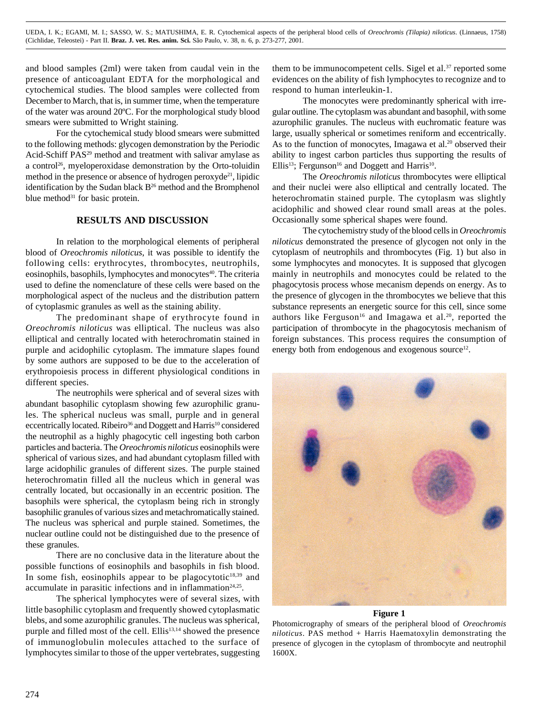and blood samples (2ml) were taken from caudal vein in the presence of anticoagulant EDTA for the morphological and cytochemical studies. The blood samples were collected from December to March, that is, in summer time, when the temperature of the water was around 20ºC. For the morphological study blood smears were submitted to Wright staining.

For the cytochemical study blood smears were submitted to the following methods: glycogen demonstration by the Periodic Acid-Schiff PAS<sup>29</sup> method and treatment with salivar amylase as a control<sup>26</sup>, myeloperoxidase demonstration by the Orto-toluidin method in the presence or absence of hydrogen peroxyde<sup>21</sup>, lipidic identification by the Sudan black B<sup>26</sup> method and the Bromphenol blue method<sup>31</sup> for basic protein.

## **RESULTS AND DISCUSSION**

In relation to the morphological elements of peripheral blood of *Oreochromis niloticus*, it was possible to identify the following cells: erythrocytes, thrombocytes, neutrophils, eosinophils, basophils, lymphocytes and monocytes<sup>40</sup>. The criteria used to define the nomenclature of these cells were based on the morphological aspect of the nucleus and the distribution pattern of cytoplasmic granules as well as the staining ability.

The predominant shape of erythrocyte found in *Oreochromis niloticus* was elliptical. The nucleus was also elliptical and centrally located with heterochromatin stained in purple and acidophilic cytoplasm. The immature slapes found by some authors are supposed to be due to the acceleration of erythropoiesis process in different physiological conditions in different species.

The neutrophils were spherical and of several sizes with abundant basophilic cytoplasm showing few azurophilic granules. The spherical nucleus was small, purple and in general eccentrically located. Ribeiro<sup>36</sup> and Doggett and Harris<sup>10</sup> considered the neutrophil as a highly phagocytic cell ingesting both carbon particles and bacteria. The *Oreochromis niloticus* eosinophils were spherical of various sizes, and had abundant cytoplasm filled with large acidophilic granules of different sizes. The purple stained heterochromatin filled all the nucleus which in general was centrally located, but occasionally in an eccentric position. The basophils were spherical, the cytoplasm being rich in strongly basophilic granules of various sizes and metachromatically stained. The nucleus was spherical and purple stained. Sometimes, the nuclear outline could not be distinguished due to the presence of these granules.

There are no conclusive data in the literature about the possible functions of eosinophils and basophils in fish blood. In some fish, eosinophils appear to be plagocytotic<sup>18,39</sup> and accumulate in parasitic infections and in inflammation<sup>24,25</sup>.

The spherical lymphocytes were of several sizes, with little basophilic cytoplasm and frequently showed cytoplasmatic blebs, and some azurophilic granules. The nucleus was spherical, purple and filled most of the cell. Ellis<sup>13,14</sup> showed the presence of immunoglobulin molecules attached to the surface of lymphocytes similar to those of the upper vertebrates, suggesting them to be immunocompetent cells. Sigel et al. $37$  reported some evidences on the ability of fish lymphocytes to recognize and to respond to human interleukin-1.

The monocytes were predominantly spherical with irregular outline. The cytoplasm was abundant and basophil, with some azurophilic granules. The nucleus with euchromatic feature was large, usually spherical or sometimes reniform and eccentrically. As to the function of monocytes, Imagawa et al.<sup>20</sup> observed their ability to ingest carbon particles thus supporting the results of Ellis<sup>13</sup>; Fergunson<sup>16</sup> and Doggett and Harris<sup>10</sup>.

The *Oreochromis niloticus* thrombocytes were elliptical and their nuclei were also elliptical and centrally located. The heterochromatin stained purple. The cytoplasm was slightly acidophilic and showed clear round small areas at the poles. Occasionally some spherical shapes were found.

The cytochemistry study of the blood cells in *Oreochromis niloticus* demonstrated the presence of glycogen not only in the cytoplasm of neutrophils and thrombocytes (Fig. 1) but also in some lymphocytes and monocytes. It is supposed that glycogen mainly in neutrophils and monocytes could be related to the phagocytosis process whose mecanism depends on energy. As to the presence of glycogen in the thrombocytes we believe that this substance represents an energetic source for this cell, since some authors like Ferguson<sup>16</sup> and Imagawa et al.<sup>20</sup>, reported the participation of thrombocyte in the phagocytosis mechanism of foreign substances. This process requires the consumption of energy both from endogenous and exogenous source<sup>12</sup>.



## **Figure 1**

Photomicrography of smears of the peripheral blood of *Oreochromis niloticus*. PAS method + Harris Haematoxylin demonstrating the presence of glycogen in the cytoplasm of thrombocyte and neutrophil 1600X.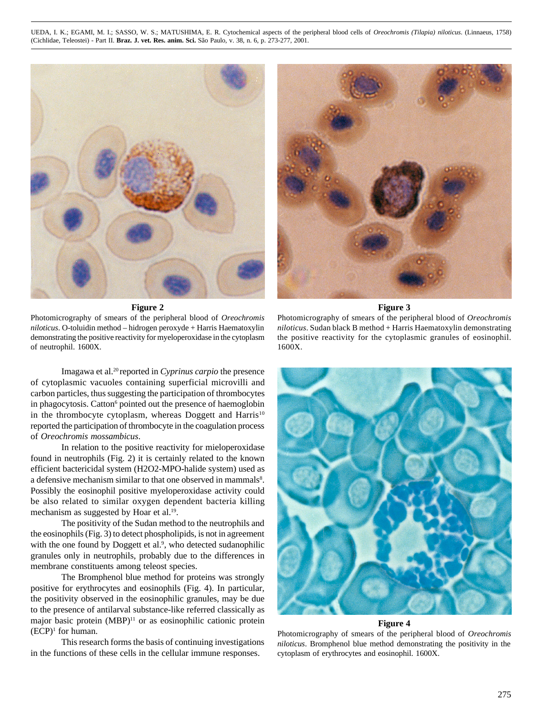UEDA, I. K.; EGAMI, M. I.; SASSO, W. S.; MATUSHIMA, E. R. Cytochemical aspects of the peripheral blood cells of *Oreochromis (Tilapia) niloticus*. (Linnaeus, 1758) (Cichlidae, Teleostei) - Part II. **Braz. J. vet. Res. anim. Sci.** São Paulo, v. 38, n. 6, p. 273-277, 2001.



**Figure 2**

Photomicrography of smears of the peripheral blood of *Oreochromis niloticus*. O-toluidin method – hidrogen peroxyde + Harris Haematoxylin demonstrating the positive reactivity for myeloperoxidase in the cytoplasm of neutrophil. 1600X.

Imagawa et al.20 reported in *Cyprinus carpio* the presence of cytoplasmic vacuoles containing superficial microvilli and carbon particles, thus suggesting the participation of thrombocytes in phagocytosis. Catton<sup>6</sup> pointed out the presence of haemoglobin in the thrombocyte cytoplasm, whereas Doggett and Harris<sup>10</sup> reported the participation of thrombocyte in the coagulation process of *Oreochromis mossambicus*.

In relation to the positive reactivity for mieloperoxidase found in neutrophils (Fig. 2) it is certainly related to the known efficient bactericidal system (H2O2-MPO-halide system) used as a defensive mechanism similar to that one observed in mammals<sup>8</sup>. Possibly the eosinophil positive myeloperoxidase activity could be also related to similar oxygen dependent bacteria killing mechanism as suggested by Hoar et al.<sup>19</sup>.

The positivity of the Sudan method to the neutrophils and the eosinophils (Fig. 3) to detect phospholipids, is not in agreement with the one found by Doggett et al.<sup>9</sup>, who detected sudanophilic granules only in neutrophils, probably due to the differences in membrane constituents among teleost species.

The Bromphenol blue method for proteins was strongly positive for erythrocytes and eosinophils (Fig. 4). In particular, the positivity observed in the eosinophilic granules, may be due to the presence of antilarval substance-like referred classically as major basic protein  $(MBP)^{11}$  or as eosinophilic cationic protein  $(ECP)^1$  for human.

This research forms the basis of continuing investigations in the functions of these cells in the cellular immune responses.



**Figure 3**

Photomicrography of smears of the peripheral blood of *Oreochromis niloticus*. Sudan black B method + Harris Haematoxylin demonstrating the positive reactivity for the cytoplasmic granules of eosinophil. 1600X.



#### **Figure 4**

Photomicrography of smears of the peripheral blood of *Oreochromis niloticus*. Bromphenol blue method demonstrating the positivity in the cytoplasm of erythrocytes and eosinophil. 1600X.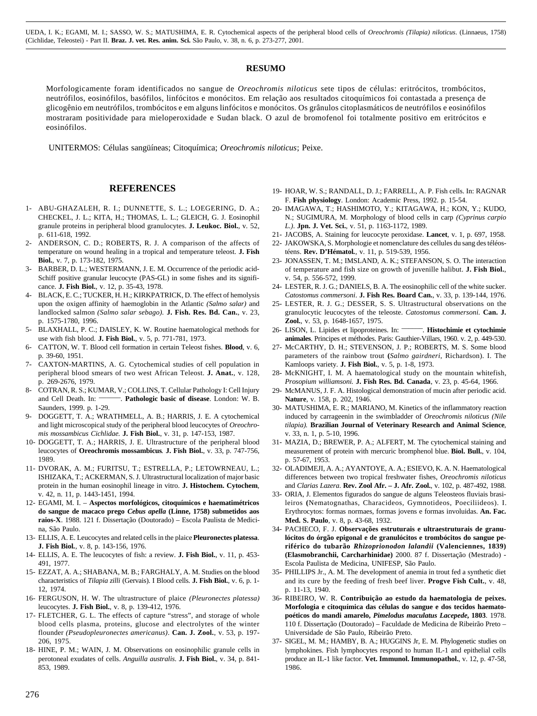UEDA, I. K.; EGAMI, M. I.; SASSO, W. S.; MATUSHIMA, E. R. Cytochemical aspects of the peripheral blood cells of *Oreochromis (Tilapia) niloticus*. (Linnaeus, 1758) (Cichlidae, Teleostei) - Part II. **Braz. J. vet. Res. anim. Sci.** São Paulo, v. 38, n. 6, p. 273-277, 2001.

#### **RESUMO**

Morfologicamente foram identificados no sangue de *Oreochromis niloticus* sete tipos de células: eritrócitos, trombócitos, neutrófilos, eosinófilos, basófilos, linfócitos e monócitos. Em relação aos resultados citoquímicos foi contastada a presença de glicogênio em neutrófilos, trombócitos e em alguns linfócitos e monócitos. Os grânulos citoplasmáticos de neutrófilos e eosinófilos mostraram positividade para mieloperoxidade e Sudan black. O azul de bromofenol foi totalmente positivo em eritrócitos e eosinófilos.

UNITERMOS: Células sangüíneas; Citoquímica; *Oreochromis niloticus*; Peixe.

#### **REFERENCES**

- 1- ABU-GHAZALEH, R. I.; DUNNETTE, S. L.; LOEGERING, D. A.; CHECKEL, J. L.; KITA, H.; THOMAS, L. L.; GLEICH, G. J. Eosinophil granule proteins in peripheral blood granulocytes. **J. Leukoc. Biol.**, v*.* 52, p. 611-618, 1992.
- 2- ANDERSON, C. D.; ROBERTS, R. J. A comparison of the affects of temperature on wound healing in a tropical and temperature teleost. **J. Fish Biol.**, v. 7, p. 173-182, 1975.
- 3- BARBER, D. L.; WESTERMANN, J. E. M. Occurrence of the periodic acid-Schiff positive granular leucocyte (PAS-GL) in some fishes and its significance. **J. Fish Biol.**, v. 12, p. 35-43, 1978.
- 4- BLACK, E. C.; TUCKER, H. H.; KIRKPATRICK, D. The effect of hemolysis upon the oxigen affinity of haemoglobin in the Atlantic *(Salmo salar)* and landlocked salmon *(Salmo salar sebago).* **J. Fish. Res. Bd. Can.**, v. 23, p. 1575-1780, 1996.
- 5- BLAXHALL, P. C.; DAISLEY, K. W. Routine haematological methods for use with fish blood. **J. Fish Biol.**, v. 5, p. 771-781, 1973.
- 6- CATTON, W. T. Blood cell formation in certain Teleost fishes. **Blood**, v. 6, p. 39-60, 1951.
- 7- CAXTON-MARTINS, A. G. Cytochemical studies of cell population in peripheral blood smears of two west African Teleost. **J. Anat.**, v. 128, p. 269-2676, 1979.
- 8- COTRAN, R. S.; KUMAR, V.; COLLINS, T. Cellular Pathology I: Cell Injury and Cell Death. In: **Pathologic basic of disease**. London: W. B. Saunders, 1999. p. 1-29.
- 9- DOGGETT, T. A.; WRATHMELL, A. B.; HARRIS, J. E. A cytochemical and light microscopical study of the peripheral blood leucocytes of *Oreochromis mossambicus Cichlidae.* **J. Fish Biol.**, v. 31, p. 147-153, 1987.
- 10- DOGGETT, T. A.; HARRIS, J. E. Ultrastructure of the peripheral blood leucocytes of **Oreochromis mossambicus***.* **J. Fish Biol.**, v. 33, p. 747-756, 1989.
- 11- DVORAK, A. M.; FURITSU, T.; ESTRELLA, P.; LETOWRNEAU, L.; ISHIZAKA, T.; ACKERMAN, S. J. Ultrastructural localization of major basic protein in the human eosinophil lineage in vitro. **J. Histochem. Cytochem**, v. 42, n. 11, p. 1443-1451, 1994.
- 12- EGAMI, M. I. **Aspectos morfológicos, citoquímicos e haematimétricos do sangue de macaco prego** *Cebus apella* **(Linne, 1758) submetidos aos raios-X**. 1988. 121 f. Dissertação (Doutorado) – Escola Paulista de Medicina, São Paulo.
- 13- ELLIS, A. E. Leucocytes and related cells in the plaice **Pleuronectes platessa**. **J. Fish Biol***.*, v. 8, p. 143-156, 1976.
- 14- ELLIS, A. E. The leucocytes of fish: a review. **J. Fish Biol.**, v. 11, p. 453- 491, 1977.
- 15- EZZAT, A. A.; SHABANA, M. B.; FARGHALY, A. M. Studies on the blood characteristics of *Tilapia zilli* (Gervais). I Blood cells. **J. Fish Biol.**, v. 6, p. 1- 12, 1974.
- 16- FERGUSON, H. W. The ultrastructure of plaice *(Pleuronectes platessa)* leucocytes. **J. Fish Biol.**, v. 8, p. 139-412, 1976.
- 17- FLETCHER, G. L. The effects of capture "stress", and storage of whole blood cells plasma, proteins, glucose and electrolytes of the winter flounder *(Pseudopleuronectes americanus)*. **Can. J. Zool.**, v. 53, p. 197- 206, 1975.
- 18- HINE, P. M.; WAIN, J. M. Observations on eosinophilic granule cells in perotoneal exudates of cells. *Anguilla australis.* **J. Fish Biol.**, v. 34, p. 841- 853, 1989.
- 19- HOAR, W. S.; RANDALL, D. J.; FARRELL, A. P. Fish cells. In: RAGNAR F. **Fish physiology**. London: Academic Press, 1992. p. 15-54.
- 20- IMAGAWA, T.; HASHIMOTO, Y.; KITAGAWA, H.; KON, Y.; KUDO, N.; SUGIMURA, M. Morphology of blood cells in carp *(Cyprinus carpio L.)*. **Jpn. J. Vet. Sci.**, v. 51, p. 1163-1172, 1989.
- 21- JACOBS, A. Staining for leucocyte peroxidase. **Lancet**, v. 1, p. 697, 1958.
- 22- JAKOWSKA, S. Morphologie et nomenclature des cellules du sang des téléostéens. **Rev. D'Hématol***.*, v. 11, p. 519-539, 1956.
- 23- JONASSEN, T. M.; IMSLAND, A. K.; STEFANSON, S. O. The interaction of temperature and fish size on growth of juvenille halibut. **J. Fish Biol.**, v. 54, p. 556-572, 1999.
- 24- LESTER, R. J. G.; DANIELS, B. A. The eosinophilic cell of the white sucker. *Catostomus commersoni*. **J. Fish Res. Board Can.**, v. 33, p. 139-144, 1976.
- 25- LESTER, R. J. G.; DESSER, S. S. Ultrastructural observations on the granulocytic leucocytes of the teleoste. *Catostomus commersoni.* **Can. J. Zool.**, v. 53, p. 1648-1657, 1975.
- 26- LISON, L. Lipides et lipoproteines. In: \_\_\_\_\_\_. **Histochimie et cytochimie animales**. Principes et méthodes. Paris: Gauthier-Villars, 1960. v. 2, p. 449-530.
- 27- McCARTHY, D. H.; STEVENSON, J. P.; ROBERTS, M. S. Some blood parameters of the rainbow trout **(***Salmo gairdneri*, Richardson). I. The Kamloops variety. **J. Fish Biol.**, v. 5, p. 1-8, 1973.
- 28- McKNIGHT, I. M. A haematological study on the mountain whitefish, *Prosopium williamsoni.* **J. Fish Res. Bd. Canada**, v. 23, p. 45-64, 1966.
- 29- McMANUS, J. F. A. Histological demonstration of mucin after periodic acid. **Nature**, v. 158, p. 202, 1946.
- 30- MATUSHIMA, E. R.; MARIANO, M. Kinetics of the inflammatory reaction induced by carrageenin in the swimbladder of *Oreochromis niloticus (Nile tilapia).* **Brazilian Journal of Veterinary Research and Animal Science**, v. 33, n. 1, p. 5-10, 1996.
- 31- MAZIA, D.; BREWER, P. A.; ALFERT, M. The cytochemical staining and measurement of protein with mercuric bromphenol blue. **Biol. Bull.**, v. 104, p. 57-67, 1953.
- 32- OLADIMEJI, A. A.; AYANTOYE, A. A.; ESIEVO, K. A. N. Haematological differences between two tropical freshwater fishes, *Oreochromis niloticus* and *Clarias Lazera*. **Rev. Zool Afr. – J. Afr. Zool.**, v. 102, p. 487-492, 1988.
- 33- ORIA, J. Elementos figurados do sangue de alguns Teleosteos fluviais brasileiros **(**Nematognathas, Characideos, Gymnotideos, Poeciliideos). I. Erythrocytos: formas normaes, formas jovens e formas involuidas. **An. Fac. Med. S. Paulo**, v. 8, p. 43-68, 1932.
- 34- PACHECO, F. J. **Observações estruturais e ultraestruturais de granulócitos do órgão epigonal e de granulócitos e trombócitos do sangue periférico do tubarão** *Rhizoprionodon lalandii* **(Valenciennes, 1839) (Elasmobranchii, Carcharhinidae)** 2000. 87 f. Dissertação (Mestrado) - Escola Paulista de Medicina, UNIFESP, São Paulo.
- 35- PHILLIPS Jr., A. M. The development of anemia in trout fed a synthetic diet and its cure by the feeding of fresh beef liver. **Progve Fish Cult.**, v. 48, p. 11-13, 1940.
- 36- RIBEIRO, W. R. **Contribuição ao estudo da haematologia de peixes. Morfologia e citoquímica das células do sangue e dos tecidos haematopoéticos do mandi amarelo,** *Pimelodus maculatus Lacepede***, 1803**. 1978. 110 f. Dissertação (Doutorado) – Faculdade de Medicina de Ribeirão Preto – Universidade de São Paulo, Ribeirão Preto.
- 37- SIGEL, M. M.; HAMBY, B. A.; HUGGINS Jr, E. M. Phylogenetic studies on lymphokines. Fish lymphocytes respond to human IL-1 and epithelial cells produce an IL-1 like factor. **Vet. Immunol. Immunopathol.**, v. 12, p. 47-58, 1986.